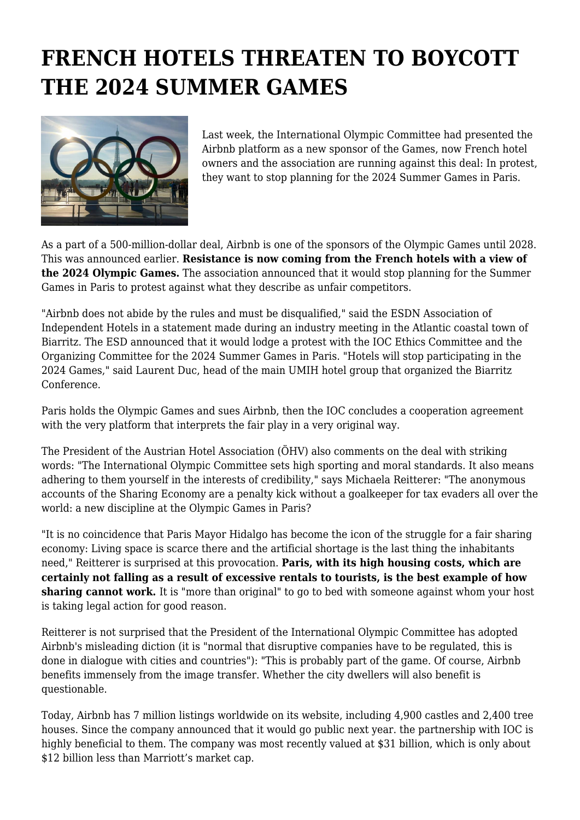## **FRENCH HOTELS THREATEN TO BOYCOTT THE 2024 SUMMER GAMES**



Last week, the International Olympic Committee had presented the Airbnb platform as a new sponsor of the Games, now French hotel owners and the association are running against this deal: In protest, they want to stop planning for the 2024 Summer Games in Paris.

As a part of a 500-million-dollar deal, Airbnb is one of the sponsors of the Olympic Games until 2028. This was announced earlier. **Resistance is now coming from the French hotels with a view of the 2024 Olympic Games.** The association announced that it would stop planning for the Summer Games in Paris to protest against what they describe as unfair competitors.

"Airbnb does not abide by the rules and must be disqualified," said the ESDN Association of Independent Hotels in a statement made during an industry meeting in the Atlantic coastal town of Biarritz. The ESD announced that it would lodge a protest with the IOC Ethics Committee and the Organizing Committee for the 2024 Summer Games in Paris. "Hotels will stop participating in the 2024 Games," said Laurent Duc, head of the main UMIH hotel group that organized the Biarritz Conference.

Paris holds the Olympic Games and sues Airbnb, then the IOC concludes a cooperation agreement with the very platform that interprets the fair play in a very original way.

The President of the Austrian Hotel Association (ÖHV) also comments on the deal with striking words: "The International Olympic Committee sets high sporting and moral standards. It also means adhering to them yourself in the interests of credibility," says Michaela Reitterer: "The anonymous accounts of the Sharing Economy are a penalty kick without a goalkeeper for tax evaders all over the world: a new discipline at the Olympic Games in Paris?

"It is no coincidence that Paris Mayor Hidalgo has become the icon of the struggle for a fair sharing economy: Living space is scarce there and the artificial shortage is the last thing the inhabitants need," Reitterer is surprised at this provocation. **Paris, with its high housing costs, which are certainly not falling as a result of excessive rentals to tourists, is the best example of how sharing cannot work.** It is "more than original" to go to bed with someone against whom your host is taking legal action for good reason.

Reitterer is not surprised that the President of the International Olympic Committee has adopted Airbnb's misleading diction (it is "normal that disruptive companies have to be regulated, this is done in dialogue with cities and countries"): "This is probably part of the game. Of course, Airbnb benefits immensely from the image transfer. Whether the city dwellers will also benefit is questionable.

Today, Airbnb has 7 million listings worldwide on its website, including 4,900 castles and 2,400 tree houses. Since the company announced that it would go public next year. the partnership with IOC is highly beneficial to them. The company was most recently valued at \$31 billion, which is only about \$12 billion less than Marriott's market cap.